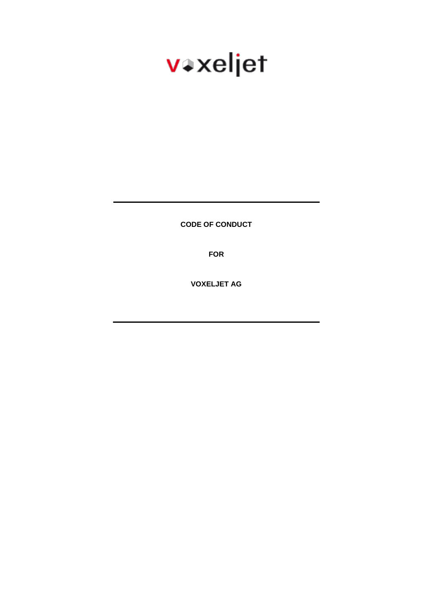# vaxeljet

**CODE OF CONDUCT**

**FOR**

**VOXELJET AG**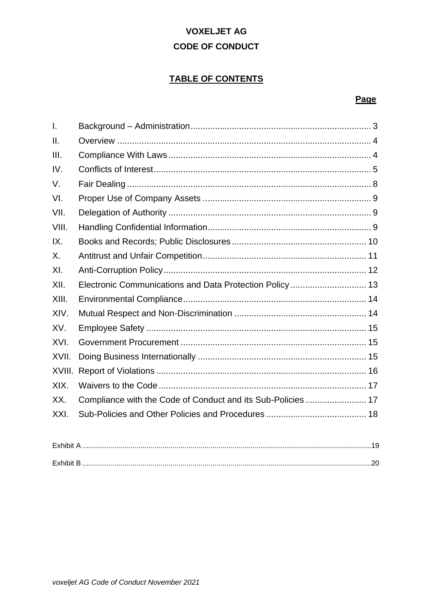# **VOXELJET AG CODE OF CONDUCT**

# **TABLE OF CONTENTS**

# Page

| $\mathbf{I}$ . |                                                             |  |
|----------------|-------------------------------------------------------------|--|
| II.            |                                                             |  |
| III.           |                                                             |  |
| IV.            |                                                             |  |
| V.             |                                                             |  |
| VI.            |                                                             |  |
| VII.           |                                                             |  |
| VIII.          |                                                             |  |
| IX.            |                                                             |  |
| Χ.             |                                                             |  |
| XI.            |                                                             |  |
| XII.           | Electronic Communications and Data Protection Policy  13    |  |
| XIII.          |                                                             |  |
| XIV.           |                                                             |  |
| XV.            |                                                             |  |
| XVI.           |                                                             |  |
| XVII.          |                                                             |  |
| XVIII.         |                                                             |  |
| XIX.           |                                                             |  |
| XX.            | Compliance with the Code of Conduct and its Sub-Policies 17 |  |
| XXI.           |                                                             |  |
|                |                                                             |  |
|                |                                                             |  |

| maaladka 1<br>$-$ vnin. |  |
|-------------------------|--|
|                         |  |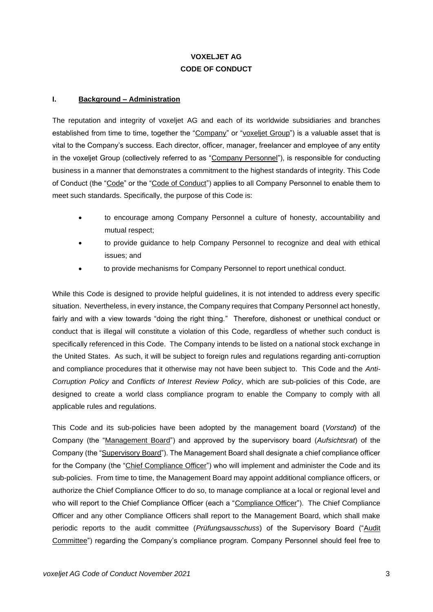# **VOXELJET AG CODE OF CONDUCT**

#### <span id="page-2-0"></span>**I. Background – Administration**

The reputation and integrity of voxeljet AG and each of its worldwide subsidiaries and branches established from time to time, together the "Company" or "voxeljet Group") is a valuable asset that is vital to the Company's success. Each director, officer, manager, freelancer and employee of any entity in the voxeljet Group (collectively referred to as "Company Personnel"), is responsible for conducting business in a manner that demonstrates a commitment to the highest standards of integrity. This Code of Conduct (the "Code" or the "Code of Conduct") applies to all Company Personnel to enable them to meet such standards. Specifically, the purpose of this Code is:

- to encourage among Company Personnel a culture of honesty, accountability and mutual respect;
- to provide guidance to help Company Personnel to recognize and deal with ethical issues; and
- to provide mechanisms for Company Personnel to report unethical conduct.

While this Code is designed to provide helpful guidelines, it is not intended to address every specific situation. Nevertheless, in every instance, the Company requires that Company Personnel act honestly, fairly and with a view towards "doing the right thing." Therefore, dishonest or unethical conduct or conduct that is illegal will constitute a violation of this Code, regardless of whether such conduct is specifically referenced in this Code. The Company intends to be listed on a national stock exchange in the United States. As such, it will be subject to foreign rules and regulations regarding anti-corruption and compliance procedures that it otherwise may not have been subject to. This Code and the *Anti-Corruption Policy* and *Conflicts of Interest Review Policy*, which are sub-policies of this Code, are designed to create a world class compliance program to enable the Company to comply with all applicable rules and regulations.

This Code and its sub-policies have been adopted by the management board (*Vorstand*) of the Company (the "Management Board") and approved by the supervisory board (*Aufsichtsrat*) of the Company (the "Supervisory Board"). The Management Board shall designate a chief compliance officer for the Company (the "Chief Compliance Officer") who will implement and administer the Code and its sub-policies. From time to time, the Management Board may appoint additional compliance officers, or authorize the Chief Compliance Officer to do so, to manage compliance at a local or regional level and who will report to the Chief Compliance Officer (each a "Compliance Officer"). The Chief Compliance Officer and any other Compliance Officers shall report to the Management Board, which shall make periodic reports to the audit committee (*Prüfungsausschuss*) of the Supervisory Board ("Audit Committee") regarding the Company's compliance program. Company Personnel should feel free to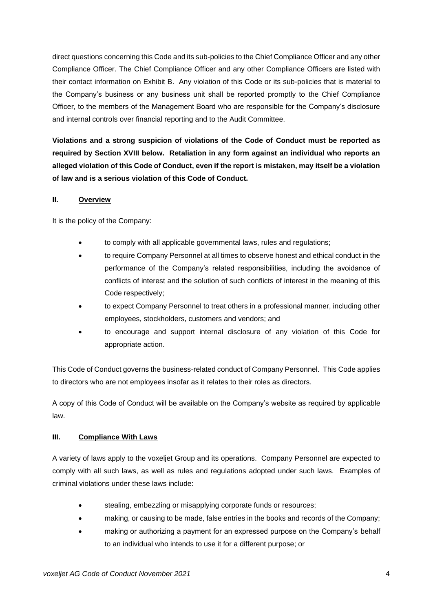direct questions concerning this Code and its sub-policies to the Chief Compliance Officer and any other Compliance Officer. The Chief Compliance Officer and any other Compliance Officers are listed with their contact information on Exhibit B. Any violation of this Code or its sub-policies that is material to the Company's business or any business unit shall be reported promptly to the Chief Compliance Officer, to the members of the Management Board who are responsible for the Company's disclosure and internal controls over financial reporting and to the Audit Committee.

**Violations and a strong suspicion of violations of the Code of Conduct must be reported as required by Section XVIII below. Retaliation in any form against an individual who reports an alleged violation of this Code of Conduct, even if the report is mistaken, may itself be a violation of law and is a serious violation of this Code of Conduct.** 

#### <span id="page-3-0"></span>**II. Overview**

It is the policy of the Company:

- to comply with all applicable governmental laws, rules and regulations;
- to require Company Personnel at all times to observe honest and ethical conduct in the performance of the Company's related responsibilities, including the avoidance of conflicts of interest and the solution of such conflicts of interest in the meaning of this Code respectively;
- to expect Company Personnel to treat others in a professional manner, including other employees, stockholders, customers and vendors; and
- to encourage and support internal disclosure of any violation of this Code for appropriate action.

This Code of Conduct governs the business-related conduct of Company Personnel. This Code applies to directors who are not employees insofar as it relates to their roles as directors.

A copy of this Code of Conduct will be available on the Company's website as required by applicable law.

# <span id="page-3-1"></span>**III. Compliance With Laws**

A variety of laws apply to the voxeljet Group and its operations. Company Personnel are expected to comply with all such laws, as well as rules and regulations adopted under such laws. Examples of criminal violations under these laws include:

- stealing, embezzling or misapplying corporate funds or resources;
- making, or causing to be made, false entries in the books and records of the Company;
- making or authorizing a payment for an expressed purpose on the Company's behalf to an individual who intends to use it for a different purpose; or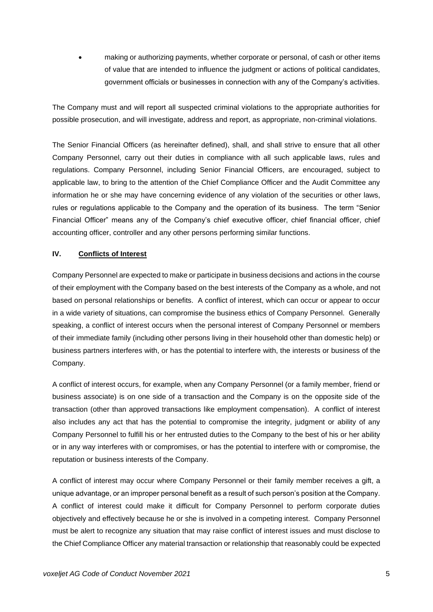• making or authorizing payments, whether corporate or personal, of cash or other items of value that are intended to influence the judgment or actions of political candidates, government officials or businesses in connection with any of the Company's activities.

The Company must and will report all suspected criminal violations to the appropriate authorities for possible prosecution, and will investigate, address and report, as appropriate, non-criminal violations.

The Senior Financial Officers (as hereinafter defined), shall, and shall strive to ensure that all other Company Personnel, carry out their duties in compliance with all such applicable laws, rules and regulations. Company Personnel, including Senior Financial Officers, are encouraged, subject to applicable law, to bring to the attention of the Chief Compliance Officer and the Audit Committee any information he or she may have concerning evidence of any violation of the securities or other laws, rules or regulations applicable to the Company and the operation of its business. The term "Senior Financial Officer" means any of the Company's chief executive officer, chief financial officer, chief accounting officer, controller and any other persons performing similar functions.

# <span id="page-4-0"></span>**IV. Conflicts of Interest**

Company Personnel are expected to make or participate in business decisions and actions in the course of their employment with the Company based on the best interests of the Company as a whole, and not based on personal relationships or benefits. A conflict of interest, which can occur or appear to occur in a wide variety of situations, can compromise the business ethics of Company Personnel. Generally speaking, a conflict of interest occurs when the personal interest of Company Personnel or members of their immediate family (including other persons living in their household other than domestic help) or business partners interferes with, or has the potential to interfere with, the interests or business of the Company.

A conflict of interest occurs, for example, when any Company Personnel (or a family member, friend or business associate) is on one side of a transaction and the Company is on the opposite side of the transaction (other than approved transactions like employment compensation). A conflict of interest also includes any act that has the potential to compromise the integrity, judgment or ability of any Company Personnel to fulfill his or her entrusted duties to the Company to the best of his or her ability or in any way interferes with or compromises, or has the potential to interfere with or compromise, the reputation or business interests of the Company.

A conflict of interest may occur where Company Personnel or their family member receives a gift, a unique advantage, or an improper personal benefit as a result of such person's position at the Company. A conflict of interest could make it difficult for Company Personnel to perform corporate duties objectively and effectively because he or she is involved in a competing interest. Company Personnel must be alert to recognize any situation that may raise conflict of interest issues and must disclose to the Chief Compliance Officer any material transaction or relationship that reasonably could be expected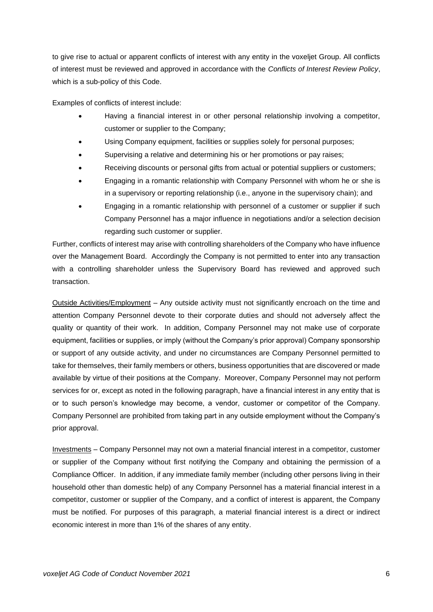to give rise to actual or apparent conflicts of interest with any entity in the voxeljet Group. All conflicts of interest must be reviewed and approved in accordance with the *Conflicts of Interest Review Policy*, which is a sub-policy of this Code.

Examples of conflicts of interest include:

- Having a financial interest in or other personal relationship involving a competitor, customer or supplier to the Company;
- Using Company equipment, facilities or supplies solely for personal purposes;
- Supervising a relative and determining his or her promotions or pay raises;
- Receiving discounts or personal gifts from actual or potential suppliers or customers;
- Engaging in a romantic relationship with Company Personnel with whom he or she is in a supervisory or reporting relationship (i.e., anyone in the supervisory chain); and
- Engaging in a romantic relationship with personnel of a customer or supplier if such Company Personnel has a major influence in negotiations and/or a selection decision regarding such customer or supplier.

Further, conflicts of interest may arise with controlling shareholders of the Company who have influence over the Management Board. Accordingly the Company is not permitted to enter into any transaction with a controlling shareholder unless the Supervisory Board has reviewed and approved such transaction.

Outside Activities/Employment – Any outside activity must not significantly encroach on the time and attention Company Personnel devote to their corporate duties and should not adversely affect the quality or quantity of their work. In addition, Company Personnel may not make use of corporate equipment, facilities or supplies, or imply (without the Company's prior approval) Company sponsorship or support of any outside activity, and under no circumstances are Company Personnel permitted to take for themselves, their family members or others, business opportunities that are discovered or made available by virtue of their positions at the Company. Moreover, Company Personnel may not perform services for or, except as noted in the following paragraph, have a financial interest in any entity that is or to such person's knowledge may become, a vendor, customer or competitor of the Company. Company Personnel are prohibited from taking part in any outside employment without the Company's prior approval.

Investments – Company Personnel may not own a material financial interest in a competitor, customer or supplier of the Company without first notifying the Company and obtaining the permission of a Compliance Officer. In addition, if any immediate family member (including other persons living in their household other than domestic help) of any Company Personnel has a material financial interest in a competitor, customer or supplier of the Company, and a conflict of interest is apparent, the Company must be notified. For purposes of this paragraph, a material financial interest is a direct or indirect economic interest in more than 1% of the shares of any entity.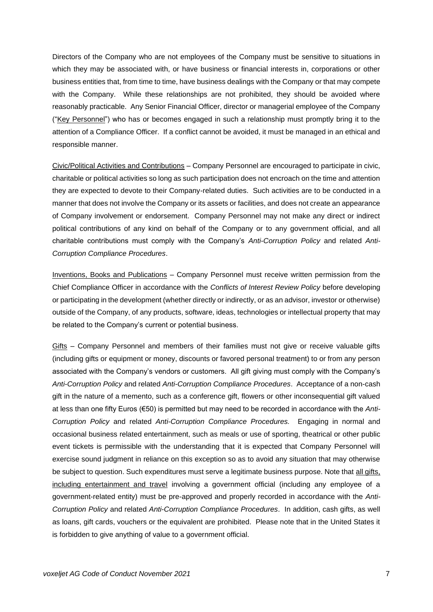Directors of the Company who are not employees of the Company must be sensitive to situations in which they may be associated with, or have business or financial interests in, corporations or other business entities that, from time to time, have business dealings with the Company or that may compete with the Company. While these relationships are not prohibited, they should be avoided where reasonably practicable. Any Senior Financial Officer, director or managerial employee of the Company ("Key Personnel") who has or becomes engaged in such a relationship must promptly bring it to the attention of a Compliance Officer. If a conflict cannot be avoided, it must be managed in an ethical and responsible manner.

Civic/Political Activities and Contributions – Company Personnel are encouraged to participate in civic, charitable or political activities so long as such participation does not encroach on the time and attention they are expected to devote to their Company-related duties. Such activities are to be conducted in a manner that does not involve the Company or its assets or facilities, and does not create an appearance of Company involvement or endorsement. Company Personnel may not make any direct or indirect political contributions of any kind on behalf of the Company or to any government official, and all charitable contributions must comply with the Company's *Anti-Corruption Policy* and related *Anti-Corruption Compliance Procedures*.

Inventions, Books and Publications – Company Personnel must receive written permission from the Chief Compliance Officer in accordance with the *Conflicts of Interest Review Policy* before developing or participating in the development (whether directly or indirectly, or as an advisor, investor or otherwise) outside of the Company, of any products, software, ideas, technologies or intellectual property that may be related to the Company's current or potential business.

Gifts – Company Personnel and members of their families must not give or receive valuable gifts (including gifts or equipment or money, discounts or favored personal treatment) to or from any person associated with the Company's vendors or customers. All gift giving must comply with the Company's *Anti-Corruption Policy* and related *Anti-Corruption Compliance Procedures*. Acceptance of a non-cash gift in the nature of a memento, such as a conference gift, flowers or other inconsequential gift valued at less than one fifty Euros (€50) is permitted but may need to be recorded in accordance with the *Anti-Corruption Policy* and related *Anti-Corruption Compliance Procedures.* Engaging in normal and occasional business related entertainment, such as meals or use of sporting, theatrical or other public event tickets is permissible with the understanding that it is expected that Company Personnel will exercise sound judgment in reliance on this exception so as to avoid any situation that may otherwise be subject to question. Such expenditures must serve a legitimate business purpose. Note that all gifts, including entertainment and travel involving a government official (including any employee of a government-related entity) must be pre-approved and properly recorded in accordance with the *Anti-Corruption Policy* and related *Anti-Corruption Compliance Procedures*. In addition, cash gifts, as well as loans, gift cards, vouchers or the equivalent are prohibited. Please note that in the United States it is forbidden to give anything of value to a government official.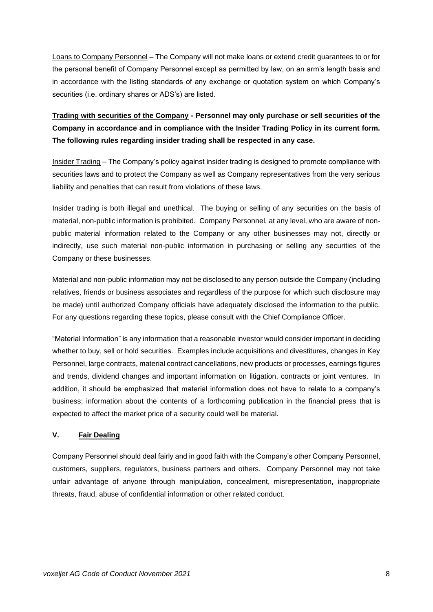Loans to Company Personnel – The Company will not make loans or extend credit guarantees to or for the personal benefit of Company Personnel except as permitted by law, on an arm's length basis and in accordance with the listing standards of any exchange or quotation system on which Company's securities (i.e. ordinary shares or ADS's) are listed.

**Trading with securities of the Company - Personnel may only purchase or sell securities of the Company in accordance and in compliance with the Insider Trading Policy in its current form. The following rules regarding insider trading shall be respected in any case.**

Insider Trading – The Company's policy against insider trading is designed to promote compliance with securities laws and to protect the Company as well as Company representatives from the very serious liability and penalties that can result from violations of these laws.

Insider trading is both illegal and unethical. The buying or selling of any securities on the basis of material, non-public information is prohibited. Company Personnel, at any level, who are aware of nonpublic material information related to the Company or any other businesses may not, directly or indirectly, use such material non-public information in purchasing or selling any securities of the Company or these businesses.

Material and non-public information may not be disclosed to any person outside the Company (including relatives, friends or business associates and regardless of the purpose for which such disclosure may be made) until authorized Company officials have adequately disclosed the information to the public. For any questions regarding these topics, please consult with the Chief Compliance Officer.

"Material Information" is any information that a reasonable investor would consider important in deciding whether to buy, sell or hold securities. Examples include acquisitions and divestitures, changes in Key Personnel, large contracts, material contract cancellations, new products or processes, earnings figures and trends, dividend changes and important information on litigation, contracts or joint ventures. In addition, it should be emphasized that material information does not have to relate to a company's business; information about the contents of a forthcoming publication in the financial press that is expected to affect the market price of a security could well be material.

#### <span id="page-7-0"></span>**V. Fair Dealing**

Company Personnel should deal fairly and in good faith with the Company's other Company Personnel, customers, suppliers, regulators, business partners and others. Company Personnel may not take unfair advantage of anyone through manipulation, concealment, misrepresentation, inappropriate threats, fraud, abuse of confidential information or other related conduct.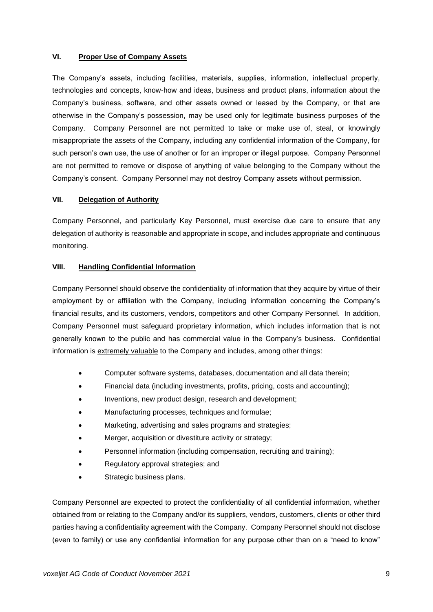#### <span id="page-8-0"></span>**VI. Proper Use of Company Assets**

The Company's assets, including facilities, materials, supplies, information, intellectual property, technologies and concepts, know-how and ideas, business and product plans, information about the Company's business, software, and other assets owned or leased by the Company, or that are otherwise in the Company's possession, may be used only for legitimate business purposes of the Company. Company Personnel are not permitted to take or make use of, steal, or knowingly misappropriate the assets of the Company, including any confidential information of the Company, for such person's own use, the use of another or for an improper or illegal purpose. Company Personnel are not permitted to remove or dispose of anything of value belonging to the Company without the Company's consent. Company Personnel may not destroy Company assets without permission.

#### <span id="page-8-1"></span>**VII. Delegation of Authority**

Company Personnel, and particularly Key Personnel, must exercise due care to ensure that any delegation of authority is reasonable and appropriate in scope, and includes appropriate and continuous monitoring.

#### <span id="page-8-2"></span>**VIII. Handling Confidential Information**

Company Personnel should observe the confidentiality of information that they acquire by virtue of their employment by or affiliation with the Company, including information concerning the Company's financial results, and its customers, vendors, competitors and other Company Personnel. In addition, Company Personnel must safeguard proprietary information, which includes information that is not generally known to the public and has commercial value in the Company's business. Confidential information is extremely valuable to the Company and includes, among other things:

- Computer software systems, databases, documentation and all data therein;
- Financial data (including investments, profits, pricing, costs and accounting);
- Inventions, new product design, research and development;
- Manufacturing processes, techniques and formulae;
- Marketing, advertising and sales programs and strategies;
- Merger, acquisition or divestiture activity or strategy;
- Personnel information (including compensation, recruiting and training);
- Regulatory approval strategies; and
- Strategic business plans.

Company Personnel are expected to protect the confidentiality of all confidential information, whether obtained from or relating to the Company and/or its suppliers, vendors, customers, clients or other third parties having a confidentiality agreement with the Company. Company Personnel should not disclose (even to family) or use any confidential information for any purpose other than on a "need to know"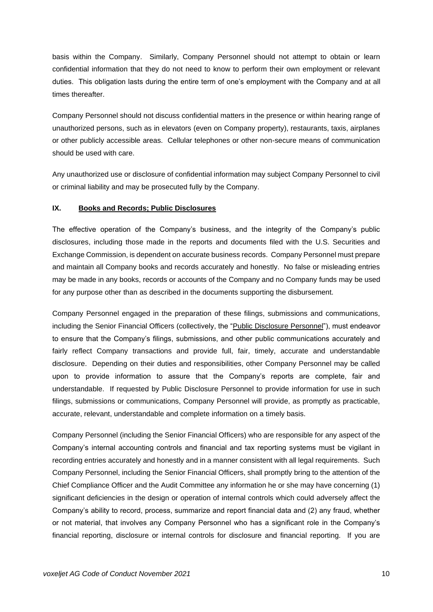basis within the Company. Similarly, Company Personnel should not attempt to obtain or learn confidential information that they do not need to know to perform their own employment or relevant duties. This obligation lasts during the entire term of one's employment with the Company and at all times thereafter.

Company Personnel should not discuss confidential matters in the presence or within hearing range of unauthorized persons, such as in elevators (even on Company property), restaurants, taxis, airplanes or other publicly accessible areas. Cellular telephones or other non-secure means of communication should be used with care.

Any unauthorized use or disclosure of confidential information may subject Company Personnel to civil or criminal liability and may be prosecuted fully by the Company.

#### <span id="page-9-0"></span>**IX. Books and Records; Public Disclosures**

The effective operation of the Company's business, and the integrity of the Company's public disclosures, including those made in the reports and documents filed with the U.S. Securities and Exchange Commission, is dependent on accurate business records. Company Personnel must prepare and maintain all Company books and records accurately and honestly. No false or misleading entries may be made in any books, records or accounts of the Company and no Company funds may be used for any purpose other than as described in the documents supporting the disbursement.

Company Personnel engaged in the preparation of these filings, submissions and communications, including the Senior Financial Officers (collectively, the "Public Disclosure Personnel"), must endeavor to ensure that the Company's filings, submissions, and other public communications accurately and fairly reflect Company transactions and provide full, fair, timely, accurate and understandable disclosure. Depending on their duties and responsibilities, other Company Personnel may be called upon to provide information to assure that the Company's reports are complete, fair and understandable. If requested by Public Disclosure Personnel to provide information for use in such filings, submissions or communications, Company Personnel will provide, as promptly as practicable, accurate, relevant, understandable and complete information on a timely basis.

Company Personnel (including the Senior Financial Officers) who are responsible for any aspect of the Company's internal accounting controls and financial and tax reporting systems must be vigilant in recording entries accurately and honestly and in a manner consistent with all legal requirements. Such Company Personnel, including the Senior Financial Officers, shall promptly bring to the attention of the Chief Compliance Officer and the Audit Committee any information he or she may have concerning (1) significant deficiencies in the design or operation of internal controls which could adversely affect the Company's ability to record, process, summarize and report financial data and (2) any fraud, whether or not material, that involves any Company Personnel who has a significant role in the Company's financial reporting, disclosure or internal controls for disclosure and financial reporting. If you are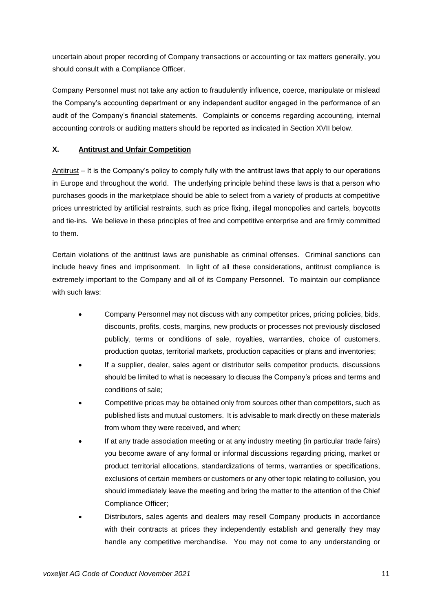uncertain about proper recording of Company transactions or accounting or tax matters generally, you should consult with a Compliance Officer.

Company Personnel must not take any action to fraudulently influence, coerce, manipulate or mislead the Company's accounting department or any independent auditor engaged in the performance of an audit of the Company's financial statements. Complaints or concerns regarding accounting, internal accounting controls or auditing matters should be reported as indicated in Section XVII below.

# <span id="page-10-0"></span>**X. Antitrust and Unfair Competition**

Antitrust – It is the Company's policy to comply fully with the antitrust laws that apply to our operations in Europe and throughout the world. The underlying principle behind these laws is that a person who purchases goods in the marketplace should be able to select from a variety of products at competitive prices unrestricted by artificial restraints, such as price fixing, illegal monopolies and cartels, boycotts and tie-ins. We believe in these principles of free and competitive enterprise and are firmly committed to them.

Certain violations of the antitrust laws are punishable as criminal offenses. Criminal sanctions can include heavy fines and imprisonment. In light of all these considerations, antitrust compliance is extremely important to the Company and all of its Company Personnel. To maintain our compliance with such laws:

- Company Personnel may not discuss with any competitor prices, pricing policies, bids, discounts, profits, costs, margins, new products or processes not previously disclosed publicly, terms or conditions of sale, royalties, warranties, choice of customers, production quotas, territorial markets, production capacities or plans and inventories;
- If a supplier, dealer, sales agent or distributor sells competitor products, discussions should be limited to what is necessary to discuss the Company's prices and terms and conditions of sale;
- Competitive prices may be obtained only from sources other than competitors, such as published lists and mutual customers. It is advisable to mark directly on these materials from whom they were received, and when;
- If at any trade association meeting or at any industry meeting (in particular trade fairs) you become aware of any formal or informal discussions regarding pricing, market or product territorial allocations, standardizations of terms, warranties or specifications, exclusions of certain members or customers or any other topic relating to collusion, you should immediately leave the meeting and bring the matter to the attention of the Chief Compliance Officer;
- Distributors, sales agents and dealers may resell Company products in accordance with their contracts at prices they independently establish and generally they may handle any competitive merchandise. You may not come to any understanding or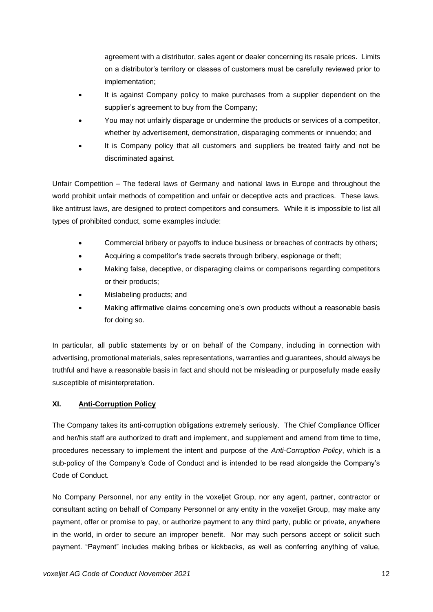agreement with a distributor, sales agent or dealer concerning its resale prices. Limits on a distributor's territory or classes of customers must be carefully reviewed prior to implementation;

- It is against Company policy to make purchases from a supplier dependent on the supplier's agreement to buy from the Company;
- You may not unfairly disparage or undermine the products or services of a competitor, whether by advertisement, demonstration, disparaging comments or innuendo; and
- It is Company policy that all customers and suppliers be treated fairly and not be discriminated against.

Unfair Competition – The federal laws of Germany and national laws in Europe and throughout the world prohibit unfair methods of competition and unfair or deceptive acts and practices. These laws, like antitrust laws, are designed to protect competitors and consumers. While it is impossible to list all types of prohibited conduct, some examples include:

- Commercial bribery or payoffs to induce business or breaches of contracts by others;
- Acquiring a competitor's trade secrets through bribery, espionage or theft;
- Making false, deceptive, or disparaging claims or comparisons regarding competitors or their products;
- Mislabeling products; and
- Making affirmative claims concerning one's own products without a reasonable basis for doing so.

In particular, all public statements by or on behalf of the Company, including in connection with advertising, promotional materials, sales representations, warranties and guarantees, should always be truthful and have a reasonable basis in fact and should not be misleading or purposefully made easily susceptible of misinterpretation.

# <span id="page-11-0"></span>**XI. Anti-Corruption Policy**

The Company takes its anti-corruption obligations extremely seriously. The Chief Compliance Officer and her/his staff are authorized to draft and implement, and supplement and amend from time to time, procedures necessary to implement the intent and purpose of the *Anti-Corruption Policy*, which is a sub-policy of the Company's Code of Conduct and is intended to be read alongside the Company's Code of Conduct.

No Company Personnel, nor any entity in the voxeljet Group, nor any agent, partner, contractor or consultant acting on behalf of Company Personnel or any entity in the voxeljet Group, may make any payment, offer or promise to pay, or authorize payment to any third party, public or private, anywhere in the world, in order to secure an improper benefit. Nor may such persons accept or solicit such payment. "Payment" includes making bribes or kickbacks, as well as conferring anything of value,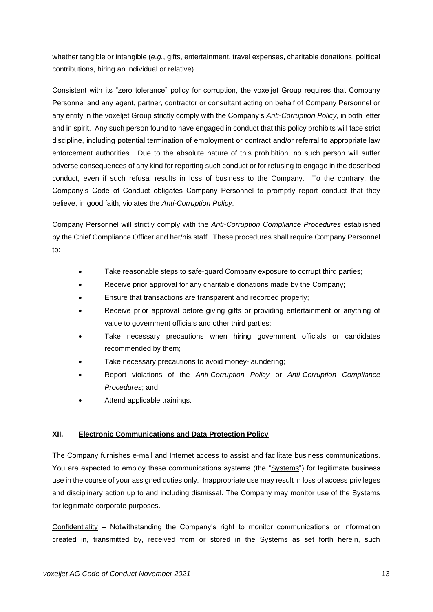whether tangible or intangible (*e.g.*, gifts, entertainment, travel expenses, charitable donations, political contributions, hiring an individual or relative).

Consistent with its "zero tolerance" policy for corruption, the voxeljet Group requires that Company Personnel and any agent, partner, contractor or consultant acting on behalf of Company Personnel or any entity in the voxeljet Group strictly comply with the Company's *Anti-Corruption Policy*, in both letter and in spirit. Any such person found to have engaged in conduct that this policy prohibits will face strict discipline, including potential termination of employment or contract and/or referral to appropriate law enforcement authorities. Due to the absolute nature of this prohibition, no such person will suffer adverse consequences of any kind for reporting such conduct or for refusing to engage in the described conduct, even if such refusal results in loss of business to the Company. To the contrary, the Company's Code of Conduct obligates Company Personnel to promptly report conduct that they believe, in good faith, violates the *Anti-Corruption Policy*.

Company Personnel will strictly comply with the *Anti-Corruption Compliance Procedures* established by the Chief Compliance Officer and her/his staff. These procedures shall require Company Personnel to:

- Take reasonable steps to safe-guard Company exposure to corrupt third parties;
- Receive prior approval for any charitable donations made by the Company;
- Ensure that transactions are transparent and recorded properly;
- Receive prior approval before giving gifts or providing entertainment or anything of value to government officials and other third parties;
- Take necessary precautions when hiring government officials or candidates recommended by them;
- Take necessary precautions to avoid money-laundering;
- Report violations of the *Anti-Corruption Policy* or *Anti-Corruption Compliance Procedures*; and
- Attend applicable trainings.

#### <span id="page-12-0"></span>**XII. Electronic Communications and Data Protection Policy**

The Company furnishes e-mail and Internet access to assist and facilitate business communications. You are expected to employ these communications systems (the "Systems") for legitimate business use in the course of your assigned duties only. Inappropriate use may result in loss of access privileges and disciplinary action up to and including dismissal. The Company may monitor use of the Systems for legitimate corporate purposes.

Confidentiality – Notwithstanding the Company's right to monitor communications or information created in, transmitted by, received from or stored in the Systems as set forth herein, such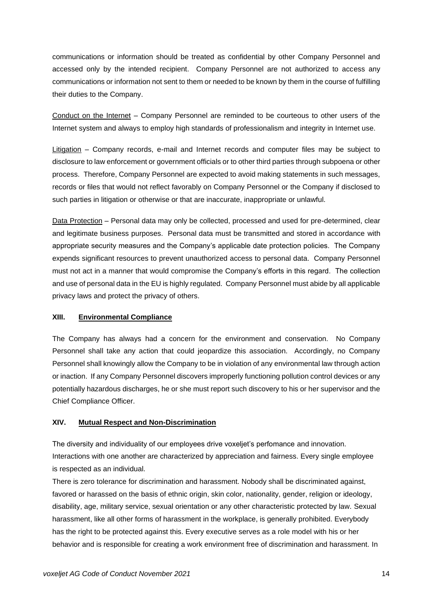communications or information should be treated as confidential by other Company Personnel and accessed only by the intended recipient. Company Personnel are not authorized to access any communications or information not sent to them or needed to be known by them in the course of fulfilling their duties to the Company.

Conduct on the Internet – Company Personnel are reminded to be courteous to other users of the Internet system and always to employ high standards of professionalism and integrity in Internet use.

Litigation – Company records, e-mail and Internet records and computer files may be subject to disclosure to law enforcement or government officials or to other third parties through subpoena or other process. Therefore, Company Personnel are expected to avoid making statements in such messages, records or files that would not reflect favorably on Company Personnel or the Company if disclosed to such parties in litigation or otherwise or that are inaccurate, inappropriate or unlawful.

Data Protection – Personal data may only be collected, processed and used for pre-determined, clear and legitimate business purposes. Personal data must be transmitted and stored in accordance with appropriate security measures and the Company's applicable date protection policies. The Company expends significant resources to prevent unauthorized access to personal data. Company Personnel must not act in a manner that would compromise the Company's efforts in this regard. The collection and use of personal data in the EU is highly regulated. Company Personnel must abide by all applicable privacy laws and protect the privacy of others.

#### <span id="page-13-0"></span>**XIII. Environmental Compliance**

The Company has always had a concern for the environment and conservation. No Company Personnel shall take any action that could jeopardize this association. Accordingly, no Company Personnel shall knowingly allow the Company to be in violation of any environmental law through action or inaction. If any Company Personnel discovers improperly functioning pollution control devices or any potentially hazardous discharges, he or she must report such discovery to his or her supervisor and the Chief Compliance Officer.

#### <span id="page-13-1"></span>**XIV. Mutual Respect and Non-Discrimination**

The diversity and individuality of our employees drive voxeljet's perfomance and innovation. Interactions with one another are characterized by appreciation and fairness. Every single employee is respected as an individual.

There is zero tolerance for discrimination and harassment. Nobody shall be discriminated against, favored or harassed on the basis of ethnic origin, skin color, nationality, gender, religion or ideology, disability, age, military service, sexual orientation or any other characteristic protected by law. Sexual harassment, like all other forms of harassment in the workplace, is generally prohibited. Everybody has the right to be protected against this. Every executive serves as a role model with his or her behavior and is responsible for creating a work environment free of discrimination and harassment. In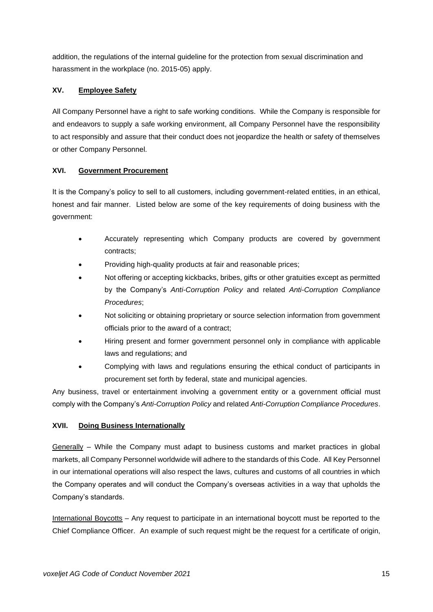addition, the regulations of the internal guideline for the protection from sexual discrimination and harassment in the workplace (no. 2015-05) apply.

# <span id="page-14-0"></span>**XV. Employee Safety**

All Company Personnel have a right to safe working conditions. While the Company is responsible for and endeavors to supply a safe working environment, all Company Personnel have the responsibility to act responsibly and assure that their conduct does not jeopardize the health or safety of themselves or other Company Personnel.

# <span id="page-14-1"></span>**XVI. Government Procurement**

It is the Company's policy to sell to all customers, including government-related entities, in an ethical, honest and fair manner. Listed below are some of the key requirements of doing business with the government:

- Accurately representing which Company products are covered by government contracts;
- Providing high-quality products at fair and reasonable prices;
- Not offering or accepting kickbacks, bribes, gifts or other gratuities except as permitted by the Company's *Anti-Corruption Policy* and related *Anti-Corruption Compliance Procedures*;
- Not soliciting or obtaining proprietary or source selection information from government officials prior to the award of a contract;
- Hiring present and former government personnel only in compliance with applicable laws and regulations; and
- Complying with laws and regulations ensuring the ethical conduct of participants in procurement set forth by federal, state and municipal agencies.

Any business, travel or entertainment involving a government entity or a government official must comply with the Company's *Anti-Corruption Policy* and related *Anti-Corruption Compliance Procedures*.

# <span id="page-14-2"></span>**XVII. Doing Business Internationally**

 $Generally - While the Company must adapt to business customs and market practices in global$ markets, all Company Personnel worldwide will adhere to the standards of this Code. All Key Personnel in our international operations will also respect the laws, cultures and customs of all countries in which the Company operates and will conduct the Company's overseas activities in a way that upholds the Company's standards.

International Boycotts – Any request to participate in an international boycott must be reported to the Chief Compliance Officer. An example of such request might be the request for a certificate of origin,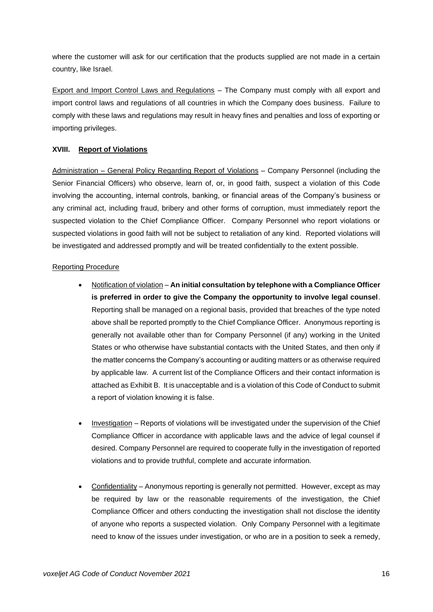where the customer will ask for our certification that the products supplied are not made in a certain country, like Israel.

Export and Import Control Laws and Regulations – The Company must comply with all export and import control laws and regulations of all countries in which the Company does business. Failure to comply with these laws and regulations may result in heavy fines and penalties and loss of exporting or importing privileges.

#### <span id="page-15-0"></span>**XVIII. Report of Violations**

Administration – General Policy Regarding Report of Violations – Company Personnel (including the Senior Financial Officers) who observe, learn of, or, in good faith, suspect a violation of this Code involving the accounting, internal controls, banking, or financial areas of the Company's business or any criminal act, including fraud, bribery and other forms of corruption, must immediately report the suspected violation to the Chief Compliance Officer. Company Personnel who report violations or suspected violations in good faith will not be subject to retaliation of any kind. Reported violations will be investigated and addressed promptly and will be treated confidentially to the extent possible.

#### Reporting Procedure

- Notification of violation **An initial consultation by telephone with a Compliance Officer is preferred in order to give the Company the opportunity to involve legal counsel**. Reporting shall be managed on a regional basis, provided that breaches of the type noted above shall be reported promptly to the Chief Compliance Officer. Anonymous reporting is generally not available other than for Company Personnel (if any) working in the United States or who otherwise have substantial contacts with the United States, and then only if the matter concerns the Company's accounting or auditing matters or as otherwise required by applicable law. A current list of the Compliance Officers and their contact information is attached as Exhibit B. It is unacceptable and is a violation of this Code of Conduct to submit a report of violation knowing it is false.
- Investigation Reports of violations will be investigated under the supervision of the Chief Compliance Officer in accordance with applicable laws and the advice of legal counsel if desired. Company Personnel are required to cooperate fully in the investigation of reported violations and to provide truthful, complete and accurate information.
- Confidentiality Anonymous reporting is generally not permitted. However, except as may be required by law or the reasonable requirements of the investigation, the Chief Compliance Officer and others conducting the investigation shall not disclose the identity of anyone who reports a suspected violation. Only Company Personnel with a legitimate need to know of the issues under investigation, or who are in a position to seek a remedy,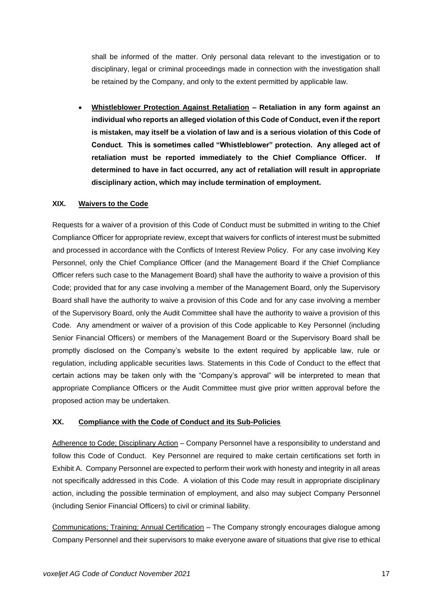shall be informed of the matter. Only personal data relevant to the investigation or to disciplinary, legal or criminal proceedings made in connection with the investigation shall be retained by the Company, and only to the extent permitted by applicable law.

• **Whistleblower Protection Against Retaliation – Retaliation in any form against an individual who reports an alleged violation of this Code of Conduct, even if the report is mistaken, may itself be a violation of law and is a serious violation of this Code of Conduct. This is sometimes called "Whistleblower" protection. Any alleged act of retaliation must be reported immediately to the Chief Compliance Officer. If determined to have in fact occurred, any act of retaliation will result in appropriate disciplinary action, which may include termination of employment.**

#### <span id="page-16-0"></span>**XIX. Waivers to the Code**

Requests for a waiver of a provision of this Code of Conduct must be submitted in writing to the Chief Compliance Officer for appropriate review, except that waivers for conflicts of interest must be submitted and processed in accordance with the Conflicts of Interest Review Policy. For any case involving Key Personnel, only the Chief Compliance Officer (and the Management Board if the Chief Compliance Officer refers such case to the Management Board) shall have the authority to waive a provision of this Code; provided that for any case involving a member of the Management Board, only the Supervisory Board shall have the authority to waive a provision of this Code and for any case involving a member of the Supervisory Board, only the Audit Committee shall have the authority to waive a provision of this Code. Any amendment or waiver of a provision of this Code applicable to Key Personnel (including Senior Financial Officers) or members of the Management Board or the Supervisory Board shall be promptly disclosed on the Company's website to the extent required by applicable law, rule or regulation, including applicable securities laws. Statements in this Code of Conduct to the effect that certain actions may be taken only with the "Company's approval" will be interpreted to mean that appropriate Compliance Officers or the Audit Committee must give prior written approval before the proposed action may be undertaken.

#### <span id="page-16-1"></span>**XX. Compliance with the Code of Conduct and its Sub-Policies**

Adherence to Code; Disciplinary Action – Company Personnel have a responsibility to understand and follow this Code of Conduct. Key Personnel are required to make certain certifications set forth in Exhibit A. Company Personnel are expected to perform their work with honesty and integrity in all areas not specifically addressed in this Code. A violation of this Code may result in appropriate disciplinary action, including the possible termination of employment, and also may subject Company Personnel (including Senior Financial Officers) to civil or criminal liability.

Communications; Training; Annual Certification – The Company strongly encourages dialogue among Company Personnel and their supervisors to make everyone aware of situations that give rise to ethical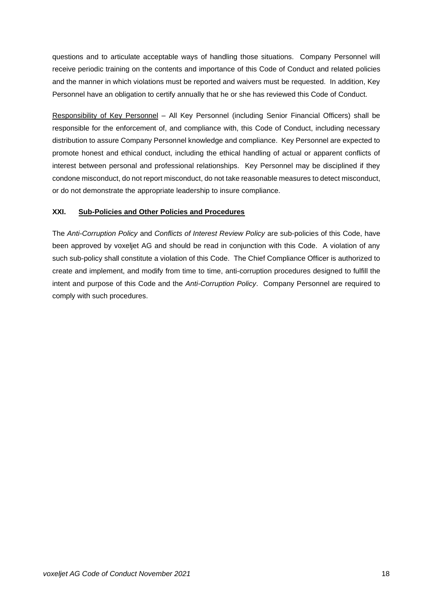questions and to articulate acceptable ways of handling those situations. Company Personnel will receive periodic training on the contents and importance of this Code of Conduct and related policies and the manner in which violations must be reported and waivers must be requested. In addition, Key Personnel have an obligation to certify annually that he or she has reviewed this Code of Conduct.

Responsibility of Key Personnel – All Key Personnel (including Senior Financial Officers) shall be responsible for the enforcement of, and compliance with, this Code of Conduct, including necessary distribution to assure Company Personnel knowledge and compliance. Key Personnel are expected to promote honest and ethical conduct, including the ethical handling of actual or apparent conflicts of interest between personal and professional relationships. Key Personnel may be disciplined if they condone misconduct, do not report misconduct, do not take reasonable measures to detect misconduct, or do not demonstrate the appropriate leadership to insure compliance.

#### <span id="page-17-0"></span>**XXI. Sub-Policies and Other Policies and Procedures**

The *Anti-Corruption Policy* and *Conflicts of Interest Review Policy* are sub-policies of this Code, have been approved by voxeljet AG and should be read in conjunction with this Code. A violation of any such sub-policy shall constitute a violation of this Code. The Chief Compliance Officer is authorized to create and implement, and modify from time to time, anti-corruption procedures designed to fulfill the intent and purpose of this Code and the *Anti-Corruption Policy*. Company Personnel are required to comply with such procedures.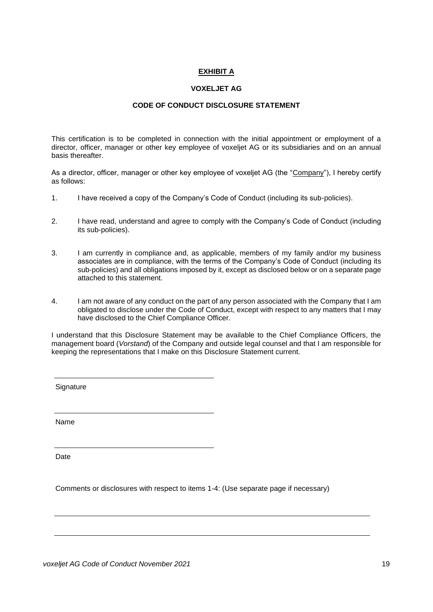#### **EXHIBIT A**

#### **VOXELJET AG**

#### **CODE OF CONDUCT DISCLOSURE STATEMENT**

This certification is to be completed in connection with the initial appointment or employment of a director, officer, manager or other key employee of voxeljet AG or its subsidiaries and on an annual basis thereafter.

As a director, officer, manager or other key employee of voxeljet AG (the "Company"), I hereby certify as follows:

- 1. I have received a copy of the Company's Code of Conduct (including its sub-policies).
- 2. I have read, understand and agree to comply with the Company's Code of Conduct (including its sub-policies).
- 3. I am currently in compliance and, as applicable, members of my family and/or my business associates are in compliance, with the terms of the Company's Code of Conduct (including its sub-policies) and all obligations imposed by it, except as disclosed below or on a separate page attached to this statement.
- 4. I am not aware of any conduct on the part of any person associated with the Company that I am obligated to disclose under the Code of Conduct, except with respect to any matters that I may have disclosed to the Chief Compliance Officer.

I understand that this Disclosure Statement may be available to the Chief Compliance Officers, the management board (*Vorstand*) of the Company and outside legal counsel and that I am responsible for keeping the representations that I make on this Disclosure Statement current.

**Signature** 

Name

Date

Comments or disclosures with respect to items 1-4: (Use separate page if necessary)

*voxeljet* AG Code of Conduct November 2021 1992 1993